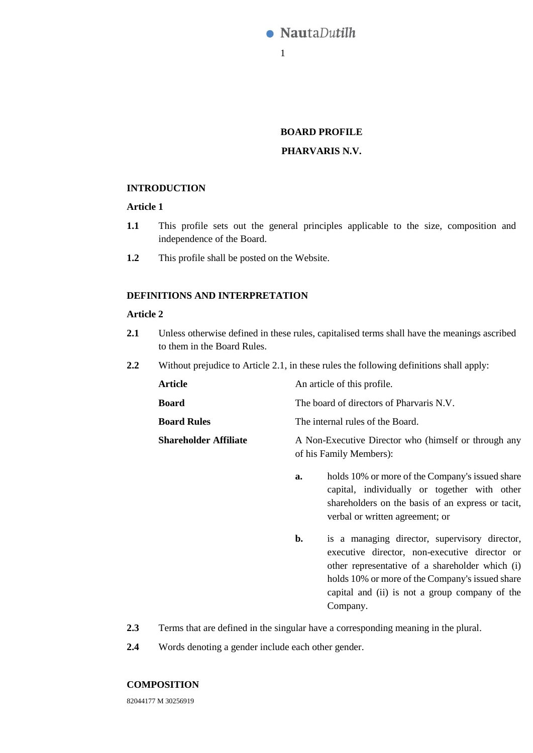

# **BOARD PROFILE**

## **PHARVARIS N.V.**

#### **INTRODUCTION**

## **Article 1**

- **1.1** This profile sets out the general principles applicable to the size, composition and independence of the Board.
- **1.2** This profile shall be posted on the Website.

## **DEFINITIONS AND INTERPRETATION**

### **Article 2**

- <span id="page-0-0"></span>**2.1** Unless otherwise defined in these rules, capitalised terms shall have the meanings ascribed to them in the Board Rules.
- **2.2** Without prejudice to Article [2.1,](#page-0-0) in these rules the following definitions shall apply:

| Article | An article of this profile. |
|---------|-----------------------------|
|---------|-----------------------------|

- **Board** The board of directors of Pharvaris N.V.
- **Board Rules** The internal rules of the Board.
- **Shareholder Affiliate** A Non-Executive Director who (himself or through any of his Family Members):
	- **a.** holds 10% or more of the Company's issued share capital, individually or together with other shareholders on the basis of an express or tacit, verbal or written agreement; or
	- **b.** is a managing director, supervisory director, executive director, non-executive director or other representative of a shareholder which (i) holds 10% or more of the Company's issued share capital and (ii) is not a group company of the Company.
- **2.3** Terms that are defined in the singular have a corresponding meaning in the plural.
- **2.4** Words denoting a gender include each other gender.

#### **COMPOSITION**

82044177 M 30256919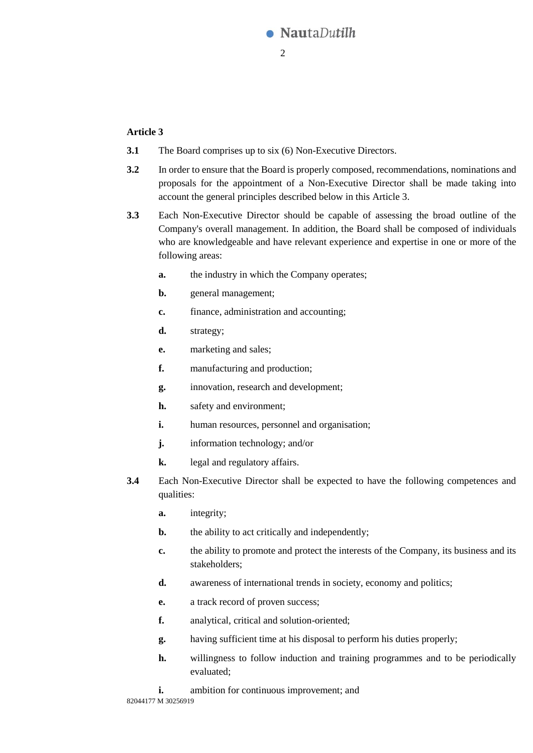

## <span id="page-1-0"></span>**Article 3**

- **3.1** The Board comprises up to six (6) Non-Executive Directors.
- **3.2** In order to ensure that the Board is properly composed, recommendations, nominations and proposals for the appointment of a Non-Executive Director shall be made taking into account the general principles described below in this [Article 3.](#page-1-0)
- **3.3** Each Non-Executive Director should be capable of assessing the broad outline of the Company's overall management. In addition, the Board shall be composed of individuals who are knowledgeable and have relevant experience and expertise in one or more of the following areas:
	- **a.** the industry in which the Company operates;
	- **b.** general management;
	- **c.** finance, administration and accounting;
	- **d.** strategy;
	- **e.** marketing and sales;
	- **f.** manufacturing and production;
	- **g.** innovation, research and development;
	- **h.** safety and environment;
	- **i.** human resources, personnel and organisation;
	- **j.** information technology; and/or
	- **k.** legal and regulatory affairs.
- **3.4** Each Non-Executive Director shall be expected to have the following competences and qualities:
	- **a.** integrity;
	- **b.** the ability to act critically and independently;
	- **c.** the ability to promote and protect the interests of the Company, its business and its stakeholders;
	- **d.** awareness of international trends in society, economy and politics;
	- **e.** a track record of proven success;
	- **f.** analytical, critical and solution-oriented;
	- **g.** having sufficient time at his disposal to perform his duties properly;
	- **h.** willingness to follow induction and training programmes and to be periodically evaluated;
	- **i.** ambition for continuous improvement; and